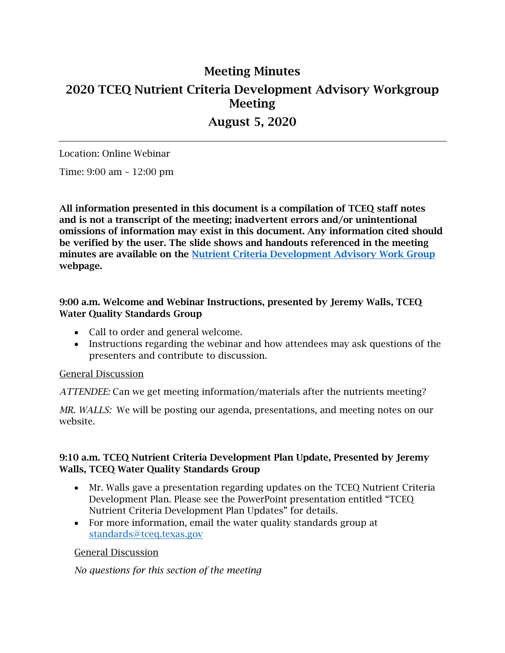# 2020 TCEQ Nutrient Criteria Development Advisory Workgroup Meeting Minutes Meeting August 5, 2020

Location: Online Webinar

Time: 9:00 am – 12:00 pm

 All information presented in this document is a compilation of TCEQ staff notes and is not a transcript of the meeting; inadvertent errors and/or unintentional be verified by the user. The slide shows and handouts referenced in the meeting minutes are available on the <u>Nutrient Criteria Development Advisory Work Group</u> omissions of information may exist in this document. Any information cited should webpage.

## 9:00 a.m. Welcome and Webinar Instructions, presented by Jeremy Walls, TCEQ Water Quality Standards Group

- Call to order and general welcome.
- • Instructions regarding the webinar and how attendees may ask questions of the presenters and contribute to discussion.

#### General Discussion

*ATTENDEE:* Can we get meeting information/materials after the nutrients meeting?

*MR. WALLS:* We will be posting our agenda, presentations, and meeting notes on our website.

#### 9:10 a.m. TCEQ Nutrient Criteria Development Plan Update, Presented by Jeremy Walls, TCEQ Water Quality Standards Group

- Mr. Walls gave a presentation regarding updates on the TCEQ Nutrient Criteria Development Plan. Please see the PowerPoint presentation entitled "TCEQ Nutrient Criteria Development Plan Updates" for details.
- For more information, email the water quality standards group at [standards@tceq.texas.gov](mailto:standards@tceq.texas.gov)

#### General Discussion

*No questions for this section of the meeting*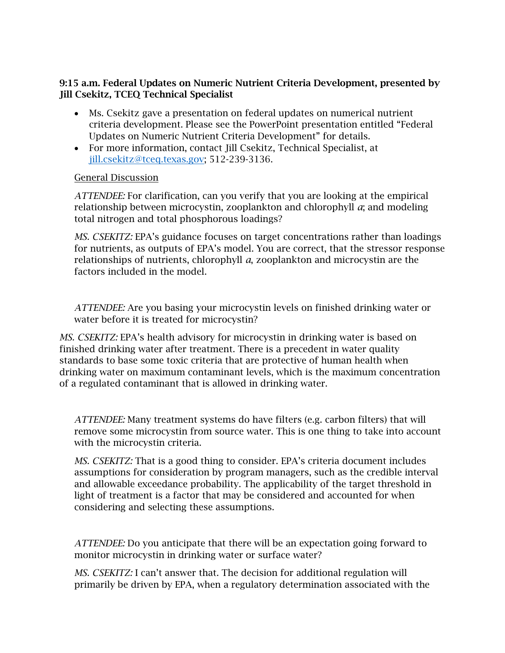### 9:15 a.m. Federal Updates on Numeric Nutrient Criteria Development, presented by Jill Csekitz, TCEQ Technical Specialist

- criteria development. Please see the PowerPoint presentation entitled "Federal • Ms. Csekitz gave a presentation on federal updates on numerical nutrient Updates on Numeric Nutrient Criteria Development" for details.
- For more information, contact Jill Csekitz, Technical Specialist, at [jill.csekitz@tceq.texas.gov;](mailto:jill.csekitz@tceq.texas.gov) 512-239-3136.

#### General Discussion

*ATTENDEE:* For clarification, can you verify that you are looking at the empirical relationship between microcystin, zooplankton and chlorophyll *a*; and modeling total nitrogen and total phosphorous loadings?

*MS. CSEKITZ:* EPA's guidance focuses on target concentrations rather than loadings for nutrients, as outputs of EPA's model. You are correct, that the stressor response relationships of nutrients, chlorophyll *a*, zooplankton and microcystin are the factors included in the model.

*ATTENDEE:* Are you basing your microcystin levels on finished drinking water or water before it is treated for microcystin?

 finished drinking water after treatment. There is a precedent in water quality drinking water on maximum contaminant levels, which is the maximum concentration *MS. CSEKITZ:* EPA's health advisory for microcystin in drinking water is based on standards to base some toxic criteria that are protective of human health when of a regulated contaminant that is allowed in drinking water.

*ATTENDEE:* Many treatment systems do have filters (e.g. carbon filters) that will remove some microcystin from source water. This is one thing to take into account with the microcystin criteria.

*MS. CSEKITZ:* That is a good thing to consider. EPA's criteria document includes assumptions for consideration by program managers, such as the credible interval and allowable exceedance probability. The applicability of the target threshold in light of treatment is a factor that may be considered and accounted for when considering and selecting these assumptions.

*ATTENDEE:* Do you anticipate that there will be an expectation going forward to monitor microcystin in drinking water or surface water?

*MS. CSEKITZ:* I can't answer that. The decision for additional regulation will primarily be driven by EPA, when a regulatory determination associated with the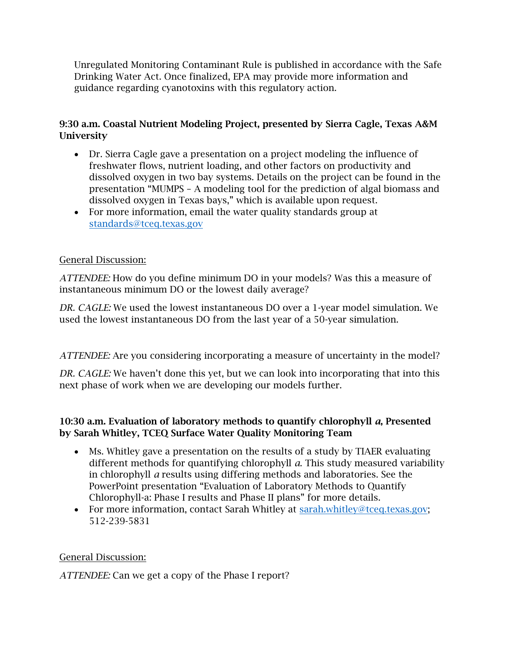Unregulated Monitoring Contaminant Rule is published in accordance with the Safe Drinking Water Act. Once finalized, EPA may provide more information and guidance regarding cyanotoxins with this regulatory action.

# 9:30 a.m. Coastal Nutrient Modeling Project, presented by Sierra Cagle, Texas A&M **University**

- Dr. Sierra Cagle gave a presentation on a project modeling the influence of freshwater flows, nutrient loading, and other factors on productivity and dissolved oxygen in two bay systems. Details on the project can be found in the presentation "MUMPS – A modeling tool for the prediction of algal biomass and dissolved oxygen in Texas bays," which is available upon request.
- For more information, email the water quality standards group at [standards@tceq.texas.gov](mailto:standards@tceq.texas.gov)

# General Discussion:

*ATTENDEE:* How do you define minimum DO in your models? Was this a measure of instantaneous minimum DO or the lowest daily average?

*DR. CAGLE:* We used the lowest instantaneous DO over a 1-year model simulation. We used the lowest instantaneous DO from the last year of a 50-year simulation.

*ATTENDEE:* Are you considering incorporating a measure of uncertainty in the model?

*DR. CAGLE:* We haven't done this yet, but we can look into incorporating that into this next phase of work when we are developing our models further.

# 10:30 a.m. Evaluation of laboratory methods to quantify chlorophyll *a*, Presented by Sarah Whitley, TCEQ Surface Water Quality Monitoring Team

- Ms. Whitley gave a presentation on the results of a study by TIAER evaluating different methods for quantifying chlorophyll *a*. This study measured variability in chlorophyll *a* results using differing methods and laboratories. See the PowerPoint presentation "Evaluation of Laboratory Methods to Quantify Chlorophyll-a: Phase I results and Phase II plans" for more details.
- For more information, contact Sarah Whitley at [sarah.whitley@tceq.texas.gov;](mailto:sarah.whitley@tceq.texas.gov) 512-239-5831

# General Discussion:

*ATTENDEE:* Can we get a copy of the Phase I report?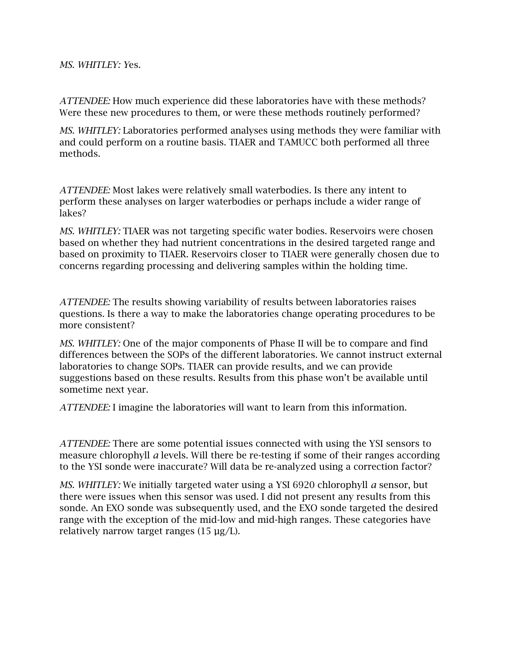*MS. WHITLEY: Y*es.

*ATTENDEE:* How much experience did these laboratories have with these methods? Were these new procedures to them, or were these methods routinely performed?

*MS. WHITLEY:* Laboratories performed analyses using methods they were familiar with and could perform on a routine basis. TIAER and TAMUCC both performed all three methods.

 perform these analyses on larger waterbodies or perhaps include a wider range of *ATTENDEE:* Most lakes were relatively small waterbodies. Is there any intent to lakes?

*MS. WHITLEY:* TIAER was not targeting specific water bodies. Reservoirs were chosen based on whether they had nutrient concentrations in the desired targeted range and based on proximity to TIAER. Reservoirs closer to TIAER were generally chosen due to concerns regarding processing and delivering samples within the holding time.

*ATTENDEE:* The results showing variability of results between laboratories raises questions. Is there a way to make the laboratories change operating procedures to be more consistent?

*MS. WHITLEY:* One of the major components of Phase II will be to compare and find differences between the SOPs of the different laboratories. We cannot instruct external laboratories to change SOPs. TIAER can provide results, and we can provide suggestions based on these results. Results from this phase won't be available until sometime next year.

*ATTENDEE:* I imagine the laboratories will want to learn from this information.

*ATTENDEE:* There are some potential issues connected with using the YSI sensors to measure chlorophyll *a* levels. Will there be re-testing if some of their ranges according to the YSI sonde were inaccurate? Will data be re-analyzed using a correction factor?

*MS. WHITLEY:* We initially targeted water using a YSI 6920 chlorophyll *a* sensor, but there were issues when this sensor was used. I did not present any results from this sonde. An EXO sonde was subsequently used, and the EXO sonde targeted the desired range with the exception of the mid-low and mid-high ranges. These categories have relatively narrow target ranges  $(15 \mu g/L)$ .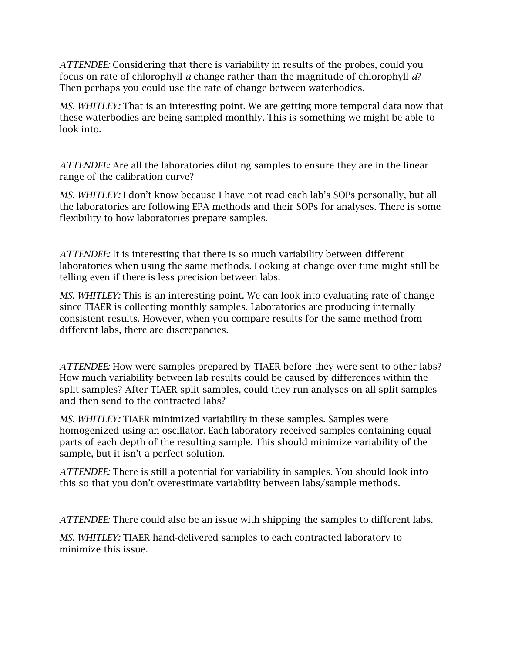*ATTENDEE:* Considering that there is variability in results of the probes, could you focus on rate of chlorophyll *a* change rather than the magnitude of chlorophyll *a*? Then perhaps you could use the rate of change between waterbodies.

*MS. WHITLEY:* That is an interesting point. We are getting more temporal data now that these waterbodies are being sampled monthly. This is something we might be able to look into.

*ATTENDEE:* Are all the laboratories diluting samples to ensure they are in the linear range of the calibration curve?

*MS. WHITLEY:* I don't know because I have not read each lab's SOPs personally, but all the laboratories are following EPA methods and their SOPs for analyses. There is some flexibility to how laboratories prepare samples.

*ATTENDEE:* It is interesting that there is so much variability between different laboratories when using the same methods. Looking at change over time might still be telling even if there is less precision between labs.

*MS. WHITLEY:* This is an interesting point. We can look into evaluating rate of change since TIAER is collecting monthly samples. Laboratories are producing internally consistent results. However, when you compare results for the same method from different labs, there are discrepancies.

*ATTENDEE:* How were samples prepared by TIAER before they were sent to other labs? How much variability between lab results could be caused by differences within the split samples? After TIAER split samples, could they run analyses on all split samples and then send to the contracted labs?

*MS. WHITLEY:* TIAER minimized variability in these samples. Samples were homogenized using an oscillator. Each laboratory received samples containing equal parts of each depth of the resulting sample. This should minimize variability of the sample, but it isn't a perfect solution.

*ATTENDEE:* There is still a potential for variability in samples. You should look into this so that you don't overestimate variability between labs/sample methods.

*ATTENDEE:* There could also be an issue with shipping the samples to different labs.

*MS. WHITLEY:* TIAER hand-delivered samples to each contracted laboratory to minimize this issue.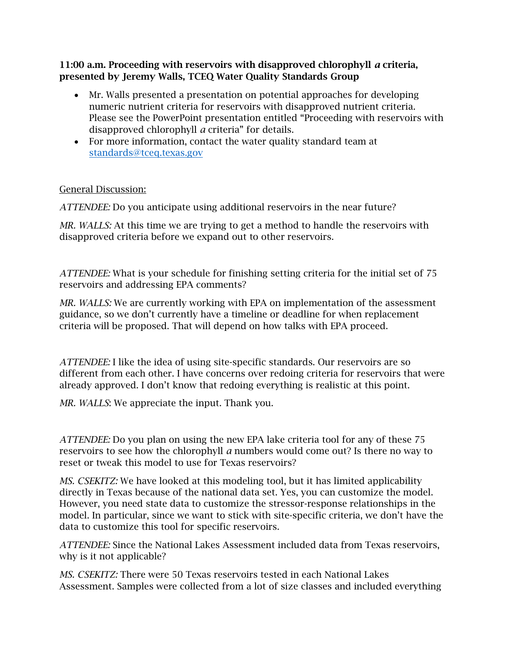## 11:00 a.m. Proceeding with reservoirs with disapproved chlorophyll *a* criteria, presented by Jeremy Walls, TCEQ Water Quality Standards Group

- Mr. Walls presented a presentation on potential approaches for developing numeric nutrient criteria for reservoirs with disapproved nutrient criteria. Please see the PowerPoint presentation entitled "Proceeding with reservoirs with disapproved chlorophyll *a* criteria" for details.
- For more information, contact the water quality standard team at [standards@tceq.texas.gov](mailto:standards@tceq.texas.gov)

# General Discussion:

*ATTENDEE:* Do you anticipate using additional reservoirs in the near future?

*MR. WALLS:* At this time we are trying to get a method to handle the reservoirs with disapproved criteria before we expand out to other reservoirs.

*ATTENDEE:* What is your schedule for finishing setting criteria for the initial set of 75 reservoirs and addressing EPA comments?

*MR. WALLS:* We are currently working with EPA on implementation of the assessment guidance, so we don't currently have a timeline or deadline for when replacement criteria will be proposed. That will depend on how talks with EPA proceed.

*ATTENDEE:* I like the idea of using site-specific standards. Our reservoirs are so different from each other. I have concerns over redoing criteria for reservoirs that were already approved. I don't know that redoing everything is realistic at this point.

*MR. WALLS*: We appreciate the input. Thank you.

*ATTENDEE:* Do you plan on using the new EPA lake criteria tool for any of these 75 reservoirs to see how the chlorophyll *a* numbers would come out? Is there no way to reset or tweak this model to use for Texas reservoirs?

*MS. CSEKITZ:* We have looked at this modeling tool, but it has limited applicability directly in Texas because of the national data set. Yes, you can customize the model. However, you need state data to customize the stressor-response relationships in the model. In particular, since we want to stick with site-specific criteria, we don't have the data to customize this tool for specific reservoirs.

*ATTENDEE:* Since the National Lakes Assessment included data from Texas reservoirs, why is it not applicable?

*MS. CSEKITZ:* There were 50 Texas reservoirs tested in each National Lakes Assessment. Samples were collected from a lot of size classes and included everything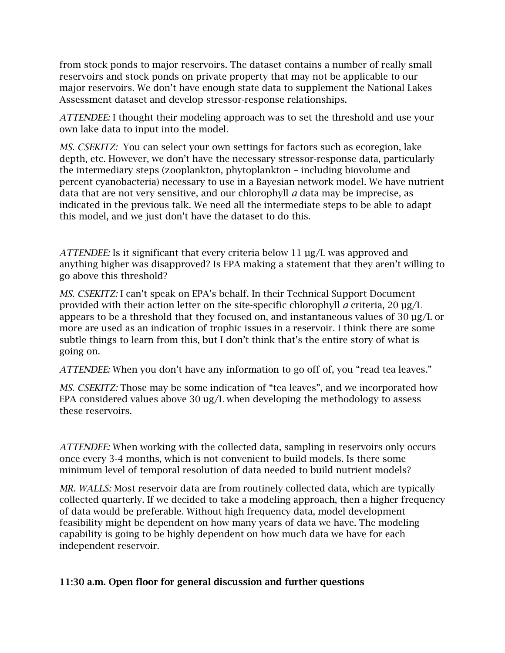from stock ponds to major reservoirs. The dataset contains a number of really small reservoirs and stock ponds on private property that may not be applicable to our major reservoirs. We don't have enough state data to supplement the National Lakes Assessment dataset and develop stressor-response relationships.

*ATTENDEE:* I thought their modeling approach was to set the threshold and use your own lake data to input into the model.

*MS. CSEKITZ:* You can select your own settings for factors such as ecoregion, lake depth, etc. However, we don't have the necessary stressor-response data, particularly the intermediary steps (zooplankton, phytoplankton – including biovolume and percent cyanobacteria) necessary to use in a Bayesian network model. We have nutrient data that are not very sensitive, and our chlorophyll *a* data may be imprecise, as indicated in the previous talk. We need all the intermediate steps to be able to adapt this model, and we just don't have the dataset to do this.

 anything higher was disapproved? Is EPA making a statement that they aren't willing to *ATTENDEE:* Is it significant that every criteria below 11 µg/L was approved and go above this threshold?

 *MS. CSEKITZ:* I can't speak on EPA's behalf. In their Technical Support Document provided with their action letter on the site-specific chlorophyll *a* criteria, 20 µg/L appears to be a threshold that they focused on, and instantaneous values of  $30 \mu g/L$  or more are used as an indication of trophic issues in a reservoir. I think there are some subtle things to learn from this, but I don't think that's the entire story of what is going on.

*ATTENDEE:* When you don't have any information to go off of, you "read tea leaves."

*MS. CSEKITZ:* Those may be some indication of "tea leaves", and we incorporated how EPA considered values above 30 ug/L when developing the methodology to assess these reservoirs.

*ATTENDEE:* When working with the collected data, sampling in reservoirs only occurs once every 3-4 months, which is not convenient to build models. Is there some minimum level of temporal resolution of data needed to build nutrient models?

*MR. WALLS:* Most reservoir data are from routinely collected data, which are typically collected quarterly. If we decided to take a modeling approach, then a higher frequency of data would be preferable. Without high frequency data, model development feasibility might be dependent on how many years of data we have. The modeling capability is going to be highly dependent on how much data we have for each independent reservoir.

# 11:30 a.m. Open floor for general discussion and further questions